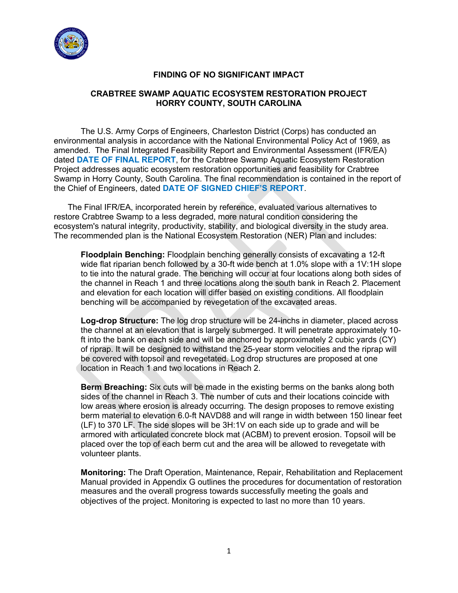

## **FINDING OF NO SIGNIFICANT IMPACT**

# **CRABTREE SWAMP AQUATIC ECOSYSTEM RESTORATION PROJECT HORRY COUNTY, SOUTH CAROLINA**

The U.S. Army Corps of Engineers, Charleston District (Corps) has conducted an environmental analysis in accordance with the National Environmental Policy Act of 1969, as amended. The Final Integrated Feasibility Report and Environmental Assessment (IFR/EA) dated **DATE OF FINAL REPORT**, for the Crabtree Swamp Aquatic Ecosystem Restoration Project addresses aquatic ecosystem restoration opportunities and feasibility for Crabtree Swamp in Horry County, South Carolina. The final recommendation is contained in the report of the Chief of Engineers, dated **DATE OF SIGNED CHIEF'S REPORT**.

 The Final IFR/EA, incorporated herein by reference, evaluated various alternatives to restore Crabtree Swamp to a less degraded, more natural condition considering the ecosystem's natural integrity, productivity, stability, and biological diversity in the study area. The recommended plan is the National Ecosystem Restoration (NER) Plan and includes:

**Floodplain Benching:** Floodplain benching generally consists of excavating a 12-ft wide flat riparian bench followed by a 30-ft wide bench at 1.0% slope with a 1V:1H slope to tie into the natural grade. The benching will occur at four locations along both sides of the channel in Reach 1 and three locations along the south bank in Reach 2. Placement and elevation for each location will differ based on existing conditions. All floodplain benching will be accompanied by revegetation of the excavated areas.

**Log-drop Structure:** The log drop structure will be 24-inchs in diameter, placed across the channel at an elevation that is largely submerged. It will penetrate approximately 10 ft into the bank on each side and will be anchored by approximately 2 cubic yards (CY) of riprap. It will be designed to withstand the 25-year storm velocities and the riprap will be covered with topsoil and revegetated. Log drop structures are proposed at one location in Reach 1 and two locations in Reach 2.

**Berm Breaching:** Six cuts will be made in the existing berms on the banks along both sides of the channel in Reach 3. The number of cuts and their locations coincide with low areas where erosion is already occurring. The design proposes to remove existing berm material to elevation 6.0-ft NAVD88 and will range in width between 150 linear feet (LF) to 370 LF. The side slopes will be 3H:1V on each side up to grade and will be armored with articulated concrete block mat (ACBM) to prevent erosion. Topsoil will be placed over the top of each berm cut and the area will be allowed to revegetate with volunteer plants.

**Monitoring:** The Draft Operation, Maintenance, Repair, Rehabilitation and Replacement Manual provided in Appendix G outlines the procedures for documentation of restoration measures and the overall progress towards successfully meeting the goals and objectives of the project. Monitoring is expected to last no more than 10 years.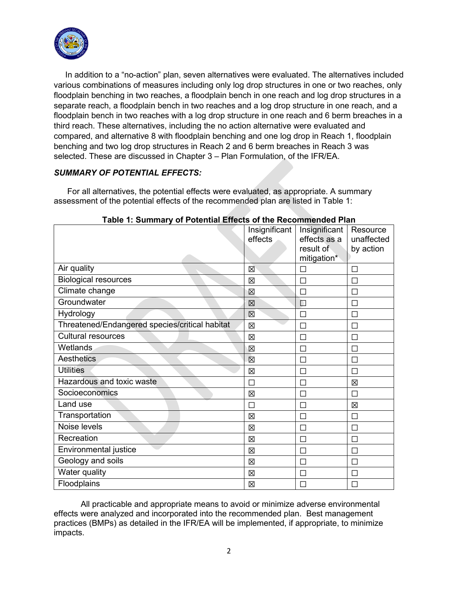

 In addition to a "no-action" plan, seven alternatives were evaluated. The alternatives included various combinations of measures including only log drop structures in one or two reaches, only floodplain benching in two reaches, a floodplain bench in one reach and log drop structures in a separate reach, a floodplain bench in two reaches and a log drop structure in one reach, and a floodplain bench in two reaches with a log drop structure in one reach and 6 berm breaches in a third reach. These alternatives, including the no action alternative were evaluated and compared, and alternative 8 with floodplain benching and one log drop in Reach 1, floodplain benching and two log drop structures in Reach 2 and 6 berm breaches in Reach 3 was selected. These are discussed in Chapter 3 – Plan Formulation, of the IFR/EA.

# *SUMMARY OF POTENTIAL EFFECTS:*

For all alternatives, the potential effects were evaluated, as appropriate. A summary assessment of the potential effects of the recommended plan are listed in Table 1:

|                                                | Insignificant<br>effects | Insignificant<br>effects as a<br>result of<br>mitigation* | Resource<br>unaffected<br>by action |
|------------------------------------------------|--------------------------|-----------------------------------------------------------|-------------------------------------|
| Air quality                                    | 区                        | П                                                         | П                                   |
| <b>Biological resources</b>                    | 区                        | □                                                         | П                                   |
| Climate change                                 | X                        | П                                                         |                                     |
| Groundwater                                    | 区                        | $\Box$                                                    | П                                   |
| Hydrology                                      | 冈                        | П                                                         | П                                   |
| Threatened/Endangered species/critical habitat | 区                        | $\Box$                                                    |                                     |
| <b>Cultural resources</b>                      | 区                        | П                                                         | П                                   |
| <b>Wetlands</b>                                | 区                        | П                                                         | П                                   |
| Aesthetics                                     | 区                        | П                                                         |                                     |
| <b>Utilities</b>                               | 区                        | $\Box$                                                    |                                     |
| Hazardous and toxic waste                      | П                        | П                                                         | 冈                                   |
| Socioeconomics                                 | 区                        | $\Box$                                                    |                                     |
| Land use                                       | П                        | П                                                         | 区                                   |
| Transportation                                 | 区                        | П                                                         | П                                   |
| Noise levels                                   | 区                        | П                                                         |                                     |
| Recreation                                     | 区                        | $\Box$                                                    | П                                   |
| Environmental justice                          | 区                        | $\Box$                                                    | П                                   |
| Geology and soils                              | 冈                        | П                                                         |                                     |
| Water quality                                  | 区                        | $\Box$                                                    | П                                   |
| Floodplains                                    | 区                        | П                                                         | П                                   |

# **Table 1: Summary of Potential Effects of the Recommended Plan**

All practicable and appropriate means to avoid or minimize adverse environmental effects were analyzed and incorporated into the recommended plan. Best management practices (BMPs) as detailed in the IFR/EA will be implemented, if appropriate, to minimize impacts.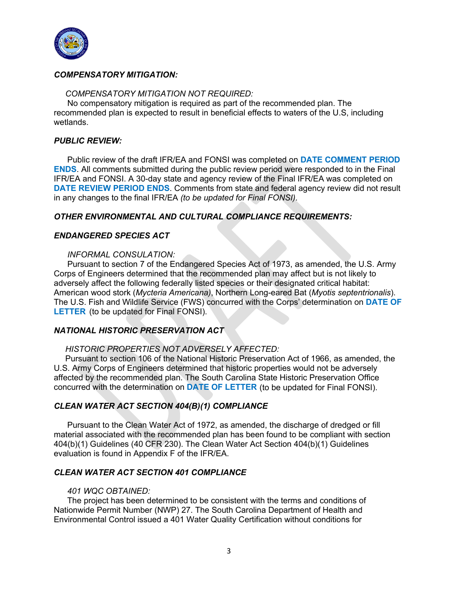

## *COMPENSATORY MITIGATION:*

#### *COMPENSATORY MITIGATION NOT REQUIRED:*

No compensatory mitigation is required as part of the recommended plan. The recommended plan is expected to result in beneficial effects to waters of the U.S, including wetlands.

### *PUBLIC REVIEW:*

Public review of the draft IFR/EA and FONSI was completed on **DATE COMMENT PERIOD ENDS**. All comments submitted during the public review period were responded to in the Final IFR/EA and FONSI. A 30-day state and agency review of the Final IFR/EA was completed on **DATE REVIEW PERIOD ENDS**. Comments from state and federal agency review did not result in any changes to the final IFR/EA *(to be updated for Final FONSI)*.

### *OTHER ENVIRONMENTAL AND CULTURAL COMPLIANCE REQUIREMENTS:*

#### *ENDANGERED SPECIES ACT*

#### *INFORMAL CONSULATION:*

Pursuant to section 7 of the Endangered Species Act of 1973, as amended, the U.S. Army Corps of Engineers determined that the recommended plan may affect but is not likely to adversely affect the following federally listed species or their designated critical habitat: American wood stork (*Mycteria Americana)*, Northern Long-eared Bat (*Myotis septentrionalis*). The U.S. Fish and Wildlife Service (FWS) concurred with the Corps' determination on **DATE OF LETTER** (to be updated for Final FONSI).

### *NATIONAL HISTORIC PRESERVATION ACT*

#### *HISTORIC PROPERTIES NOT ADVERSELY AFFECTED:*

Pursuant to section 106 of the National Historic Preservation Act of 1966, as amended, the U.S. Army Corps of Engineers determined that historic properties would not be adversely affected by the recommended plan. The South Carolina State Historic Preservation Office concurred with the determination on **DATE OF LETTER** (to be updated for Final FONSI).

### *CLEAN WATER ACT SECTION 404(B)(1) COMPLIANCE*

Pursuant to the Clean Water Act of 1972, as amended, the discharge of dredged or fill material associated with the recommended plan has been found to be compliant with section 404(b)(1) Guidelines (40 CFR 230). The Clean Water Act Section 404(b)(1) Guidelines evaluation is found in Appendix F of the IFR/EA.

#### *CLEAN WATER ACT SECTION 401 COMPLIANCE*

#### *401 WQC OBTAINED:*

The project has been determined to be consistent with the terms and conditions of Nationwide Permit Number (NWP) 27. The South Carolina Department of Health and Environmental Control issued a 401 Water Quality Certification without conditions for